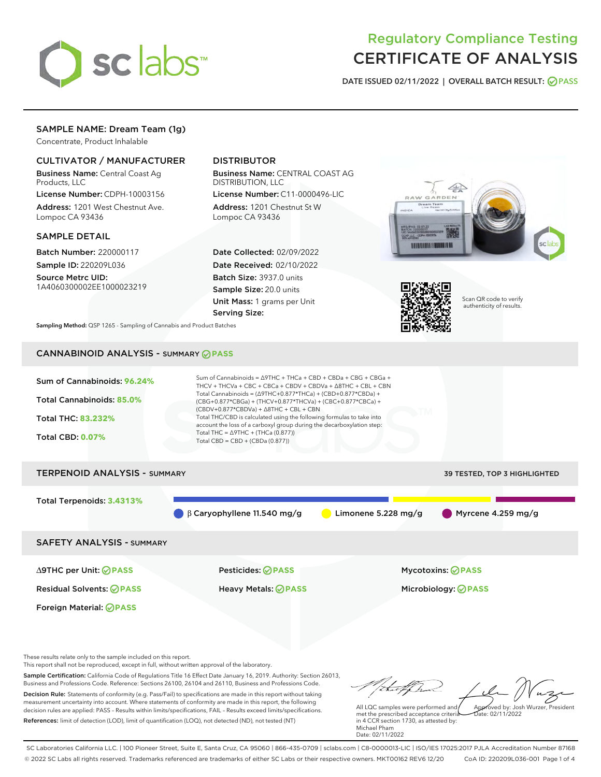

# Regulatory Compliance Testing CERTIFICATE OF ANALYSIS

DATE ISSUED 02/11/2022 | OVERALL BATCH RESULT: @ PASS

# SAMPLE NAME: Dream Team (1g)

Concentrate, Product Inhalable

## CULTIVATOR / MANUFACTURER

Business Name: Central Coast Ag Products, LLC

License Number: CDPH-10003156 Address: 1201 West Chestnut Ave. Lompoc CA 93436

#### SAMPLE DETAIL

Batch Number: 220000117 Sample ID: 220209L036

Source Metrc UID: 1A4060300002EE1000023219

## DISTRIBUTOR

Business Name: CENTRAL COAST AG DISTRIBUTION, LLC

License Number: C11-0000496-LIC Address: 1201 Chestnut St W Lompoc CA 93436

Date Collected: 02/09/2022 Date Received: 02/10/2022 Batch Size: 3937.0 units Sample Size: 20.0 units Unit Mass: 1 grams per Unit Serving Size:





Scan QR code to verify authenticity of results.

Sampling Method: QSP 1265 - Sampling of Cannabis and Product Batches

# CANNABINOID ANALYSIS - SUMMARY **PASS**



Foreign Material: **PASS**

These results relate only to the sample included on this report. This report shall not be reproduced, except in full, without written approval of the laboratory.

Sample Certification: California Code of Regulations Title 16 Effect Date January 16, 2019. Authority: Section 26013, Business and Professions Code. Reference: Sections 26100, 26104 and 26110, Business and Professions Code. Decision Rule: Statements of conformity (e.g. Pass/Fail) to specifications are made in this report without taking measurement uncertainty into account. Where statements of conformity are made in this report, the following decision rules are applied: PASS – Results within limits/specifications, FAIL – Results exceed limits/specifications.

References: limit of detection (LOD), limit of quantification (LOQ), not detected (ND), not tested (NT)

tu et f. h Approved by: Josh Wurzer, President

 $ate: 02/11/2022$ 

All LQC samples were performed and met the prescribed acceptance criteria in 4 CCR section 1730, as attested by: Michael Pham Date: 02/11/2022

SC Laboratories California LLC. | 100 Pioneer Street, Suite E, Santa Cruz, CA 95060 | 866-435-0709 | sclabs.com | C8-0000013-LIC | ISO/IES 17025:2017 PJLA Accreditation Number 87168 © 2022 SC Labs all rights reserved. Trademarks referenced are trademarks of either SC Labs or their respective owners. MKT00162 REV6 12/20 CoA ID: 220209L036-001 Page 1 of 4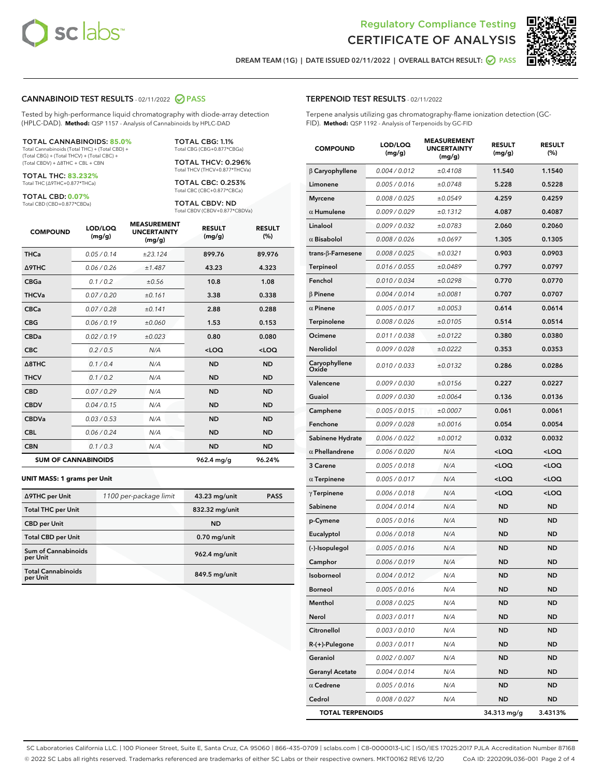



DREAM TEAM (1G) | DATE ISSUED 02/11/2022 | OVERALL BATCH RESULT: ◯ PASS

#### CANNABINOID TEST RESULTS - 02/11/2022 2 PASS

Tested by high-performance liquid chromatography with diode-array detection (HPLC-DAD). **Method:** QSP 1157 - Analysis of Cannabinoids by HPLC-DAD

#### TOTAL CANNABINOIDS: **85.0%**

Total Cannabinoids (Total THC) + (Total CBD) + (Total CBG) + (Total THCV) + (Total CBC) + (Total CBDV) + ∆8THC + CBL + CBN

TOTAL THC: **83.232%** Total THC (∆9THC+0.877\*THCa)

TOTAL CBD: **0.07%**

Total CBD (CBD+0.877\*CBDa)

TOTAL CBG: 1.1% Total CBG (CBG+0.877\*CBGa)

TOTAL THCV: 0.296% Total THCV (THCV+0.877\*THCVa)

TOTAL CBC: 0.253% Total CBC (CBC+0.877\*CBCa)

TOTAL CBDV: ND Total CBDV (CBDV+0.877\*CBDVa)

| <b>COMPOUND</b>  | LOD/LOQ<br>(mg/g)          | <b>MEASUREMENT</b><br><b>UNCERTAINTY</b><br>(mg/g) | <b>RESULT</b><br>(mg/g) | <b>RESULT</b><br>(%) |
|------------------|----------------------------|----------------------------------------------------|-------------------------|----------------------|
| <b>THCa</b>      | 0.05 / 0.14                | ±23.124                                            | 899.76                  | 89.976               |
| <b>A9THC</b>     | 0.06 / 0.26                | ±1.487                                             | 43.23                   | 4.323                |
| <b>CBGa</b>      | 0.1 / 0.2                  | ±0.56                                              | 10.8                    | 1.08                 |
| <b>THCVa</b>     | 0.07/0.20                  | ±0.161                                             | 3.38                    | 0.338                |
| <b>CBCa</b>      | 0.07 / 0.28                | ±0.141                                             | 2.88                    | 0.288                |
| <b>CBG</b>       | 0.06/0.19                  | ±0.060                                             | 1.53                    | 0.153                |
| <b>CBDa</b>      | 0.02/0.19                  | ±0.023                                             | 0.80                    | 0.080                |
| <b>CBC</b>       | 0.2 / 0.5                  | N/A                                                | $<$ LOQ                 | $<$ LOQ              |
| $\triangle$ 8THC | 0.1/0.4                    | N/A                                                | <b>ND</b>               | <b>ND</b>            |
| <b>THCV</b>      | 0.1 / 0.2                  | N/A                                                | <b>ND</b>               | <b>ND</b>            |
| <b>CBD</b>       | 0.07/0.29                  | N/A                                                | <b>ND</b>               | <b>ND</b>            |
| <b>CBDV</b>      | 0.04 / 0.15                | N/A                                                | <b>ND</b>               | <b>ND</b>            |
| <b>CBDVa</b>     | 0.03 / 0.53                | N/A                                                | <b>ND</b>               | <b>ND</b>            |
| <b>CBL</b>       | 0.06 / 0.24                | N/A                                                | <b>ND</b>               | <b>ND</b>            |
| <b>CBN</b>       | 0.1/0.3                    | N/A                                                | <b>ND</b>               | <b>ND</b>            |
|                  | <b>SUM OF CANNABINOIDS</b> |                                                    | 962.4 mg/g              | 96.24%               |

#### **UNIT MASS: 1 grams per Unit**

| ∆9THC per Unit                        | 1100 per-package limit | 43.23 mg/unit  | <b>PASS</b> |
|---------------------------------------|------------------------|----------------|-------------|
| <b>Total THC per Unit</b>             |                        | 832.32 mg/unit |             |
| <b>CBD</b> per Unit                   |                        | <b>ND</b>      |             |
| <b>Total CBD per Unit</b>             |                        | $0.70$ mg/unit |             |
| Sum of Cannabinoids<br>per Unit       |                        | 962.4 mg/unit  |             |
| <b>Total Cannabinoids</b><br>per Unit |                        | 849.5 mg/unit  |             |

#### TERPENOID TEST RESULTS - 02/11/2022

Terpene analysis utilizing gas chromatography-flame ionization detection (GC-FID). **Method:** QSP 1192 - Analysis of Terpenoids by GC-FID

| <b>COMPOUND</b>          | LOD/LOQ<br>(mg/g) | <b>MEASUREMENT</b><br><b>UNCERTAINTY</b><br>(mg/g) | <b>RESULT</b><br>(mg/g)                         | <b>RESULT</b><br>(%) |
|--------------------------|-------------------|----------------------------------------------------|-------------------------------------------------|----------------------|
| $\beta$ Caryophyllene    | 0.004 / 0.012     | ±0.4108                                            | 11.540                                          | 1.1540               |
| Limonene                 | 0.005 / 0.016     | ±0.0748                                            | 5.228                                           | 0.5228               |
| <b>Myrcene</b>           | 0.008 / 0.025     | ±0.0549                                            | 4.259                                           | 0.4259               |
| $\alpha$ Humulene        | 0.009 / 0.029     | ±0.1312                                            | 4.087                                           | 0.4087               |
| Linalool                 | 0.009 / 0.032     | ±0.0783                                            | 2.060                                           | 0.2060               |
| $\alpha$ Bisabolol       | 0.008 / 0.026     | ±0.0697                                            | 1.305                                           | 0.1305               |
| $trans-\beta$ -Farnesene | 0.008 / 0.025     | ±0.0321                                            | 0.903                                           | 0.0903               |
| <b>Terpineol</b>         | 0.016 / 0.055     | ±0.0489                                            | 0.797                                           | 0.0797               |
| Fenchol                  | 0.010 / 0.034     | ±0.0298                                            | 0.770                                           | 0.0770               |
| $\beta$ Pinene           | 0.004 / 0.014     | ±0.0081                                            | 0.707                                           | 0.0707               |
| $\alpha$ Pinene          | 0.005 / 0.017     | ±0.0053                                            | 0.614                                           | 0.0614               |
| Terpinolene              | 0.008 / 0.026     | ±0.0105                                            | 0.514                                           | 0.0514               |
| Ocimene                  | 0.011 / 0.038     | ±0.0122                                            | 0.380                                           | 0.0380               |
| <b>Nerolidol</b>         | 0.009 / 0.028     | ±0.0222                                            | 0.353                                           | 0.0353               |
| Caryophyllene<br>Oxide   | 0.010 / 0.033     | ±0.0132                                            | 0.286                                           | 0.0286               |
| Valencene                | 0.009 / 0.030     | ±0.0156                                            | 0.227                                           | 0.0227               |
| Guaiol                   | 0.009 / 0.030     | ±0.0064                                            | 0.136                                           | 0.0136               |
| Camphene                 | 0.005 / 0.015     | ±0.0007                                            | 0.061                                           | 0.0061               |
| Fenchone                 | 0.009 / 0.028     | ±0.0016                                            | 0.054                                           | 0.0054               |
| Sabinene Hydrate         | 0.006 / 0.022     | ±0.0012                                            | 0.032                                           | 0.0032               |
| $\alpha$ Phellandrene    | 0.006 / 0.020     | N/A                                                | <loq< th=""><th><loq< th=""></loq<></th></loq<> | <loq< th=""></loq<>  |
| 3 Carene                 | 0.005 / 0.018     | N/A                                                | <loq< th=""><th><loq< th=""></loq<></th></loq<> | <loq< th=""></loq<>  |
| $\alpha$ Terpinene       | 0.005 / 0.017     | N/A                                                | <loq< th=""><th><loq< th=""></loq<></th></loq<> | <loq< th=""></loq<>  |
| $\gamma$ Terpinene       | 0.006 / 0.018     | N/A                                                | <loq< th=""><th><loq< th=""></loq<></th></loq<> | <loq< th=""></loq<>  |
| Sabinene                 | 0.004 / 0.014     | N/A                                                | ND                                              | ND                   |
| p-Cymene                 | 0.005 / 0.016     | N/A                                                | <b>ND</b>                                       | ND                   |
| Eucalyptol               | 0.006 / 0.018     | N/A                                                | <b>ND</b>                                       | <b>ND</b>            |
| (-)-Isopulegol           | 0.005 / 0.016     | N/A                                                | ND                                              | <b>ND</b>            |
| Camphor                  | 0.006 / 0.019     | N/A                                                | <b>ND</b>                                       | ND                   |
| Isoborneol               | 0.004 / 0.012     | N/A                                                | <b>ND</b>                                       | <b>ND</b>            |
| Borneol                  | 0.005 / 0.016     | N/A                                                | ND                                              | ND                   |
| Menthol                  | 0.008 / 0.025     | N/A                                                | <b>ND</b>                                       | <b>ND</b>            |
| Nerol                    | 0.003 / 0.011     | N/A                                                | <b>ND</b>                                       | <b>ND</b>            |
| Citronellol              | 0.003 / 0.010     | N/A                                                | ND                                              | ND                   |
| R-(+)-Pulegone           | 0.003 / 0.011     | N/A                                                | ND                                              | ND                   |
| Geraniol                 | 0.002 / 0.007     | N/A                                                | <b>ND</b>                                       | <b>ND</b>            |
| <b>Geranyl Acetate</b>   | 0.004 / 0.014     | N/A                                                | ND                                              | ND                   |
| $\alpha$ Cedrene         | 0.005 / 0.016     | N/A                                                | <b>ND</b>                                       | ND                   |
| Cedrol                   | 0.008 / 0.027     | N/A                                                | <b>ND</b>                                       | ND                   |
| <b>TOTAL TERPENOIDS</b>  |                   |                                                    | 34.313 mg/g                                     | 3.4313%              |

SC Laboratories California LLC. | 100 Pioneer Street, Suite E, Santa Cruz, CA 95060 | 866-435-0709 | sclabs.com | C8-0000013-LIC | ISO/IES 17025:2017 PJLA Accreditation Number 87168 © 2022 SC Labs all rights reserved. Trademarks referenced are trademarks of either SC Labs or their respective owners. MKT00162 REV6 12/20 CoA ID: 220209L036-001 Page 2 of 4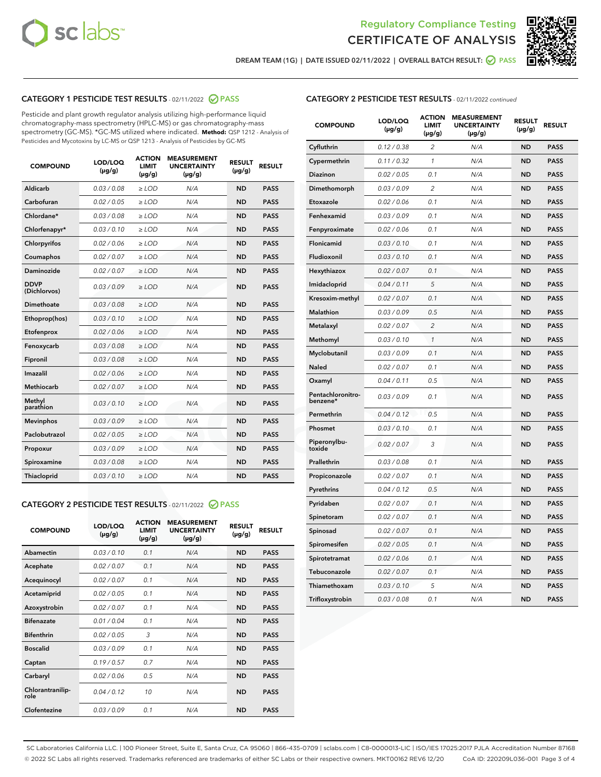



DREAM TEAM (1G) | DATE ISSUED 02/11/2022 | OVERALL BATCH RESULT: ■ PASS

## CATEGORY 1 PESTICIDE TEST RESULTS - 02/11/2022 2 PASS

Pesticide and plant growth regulator analysis utilizing high-performance liquid chromatography-mass spectrometry (HPLC-MS) or gas chromatography-mass spectrometry (GC-MS). \*GC-MS utilized where indicated. **Method:** QSP 1212 - Analysis of Pesticides and Mycotoxins by LC-MS or QSP 1213 - Analysis of Pesticides by GC-MS

| <b>COMPOUND</b>             | LOD/LOQ<br>$(\mu g/g)$ | <b>ACTION</b><br><b>LIMIT</b><br>$(\mu g/g)$ | <b>MEASUREMENT</b><br><b>UNCERTAINTY</b><br>$(\mu g/g)$ | <b>RESULT</b><br>$(\mu g/g)$ | <b>RESULT</b> |
|-----------------------------|------------------------|----------------------------------------------|---------------------------------------------------------|------------------------------|---------------|
| Aldicarb                    | 0.03 / 0.08            | $\ge$ LOD                                    | N/A                                                     | <b>ND</b>                    | <b>PASS</b>   |
| Carbofuran                  | 0.02 / 0.05            | $\ge$ LOD                                    | N/A                                                     | <b>ND</b>                    | <b>PASS</b>   |
| Chlordane*                  | 0.03 / 0.08            | $\ge$ LOD                                    | N/A                                                     | <b>ND</b>                    | <b>PASS</b>   |
| Chlorfenapyr*               | 0.03/0.10              | $\ge$ LOD                                    | N/A                                                     | <b>ND</b>                    | <b>PASS</b>   |
| Chlorpyrifos                | 0.02 / 0.06            | $\ge$ LOD                                    | N/A                                                     | <b>ND</b>                    | <b>PASS</b>   |
| Coumaphos                   | 0.02 / 0.07            | $\ge$ LOD                                    | N/A                                                     | <b>ND</b>                    | <b>PASS</b>   |
| Daminozide                  | 0.02 / 0.07            | $\ge$ LOD                                    | N/A                                                     | <b>ND</b>                    | <b>PASS</b>   |
| <b>DDVP</b><br>(Dichlorvos) | 0.03/0.09              | $>$ LOD                                      | N/A                                                     | <b>ND</b>                    | <b>PASS</b>   |
| Dimethoate                  | 0.03 / 0.08            | $\ge$ LOD                                    | N/A                                                     | <b>ND</b>                    | <b>PASS</b>   |
| Ethoprop(hos)               | 0.03/0.10              | $>$ LOD                                      | N/A                                                     | <b>ND</b>                    | <b>PASS</b>   |
| Etofenprox                  | 0.02 / 0.06            | $\ge$ LOD                                    | N/A                                                     | <b>ND</b>                    | <b>PASS</b>   |
| Fenoxycarb                  | 0.03 / 0.08            | $\ge$ LOD                                    | N/A                                                     | <b>ND</b>                    | <b>PASS</b>   |
| Fipronil                    | 0.03 / 0.08            | $\ge$ LOD                                    | N/A                                                     | <b>ND</b>                    | <b>PASS</b>   |
| Imazalil                    | 0.02 / 0.06            | $>$ LOD                                      | N/A                                                     | <b>ND</b>                    | <b>PASS</b>   |
| <b>Methiocarb</b>           | 0.02 / 0.07            | $\ge$ LOD                                    | N/A                                                     | <b>ND</b>                    | <b>PASS</b>   |
| Methyl<br>parathion         | 0.03/0.10              | $\ge$ LOD                                    | N/A                                                     | <b>ND</b>                    | <b>PASS</b>   |
| <b>Mevinphos</b>            | 0.03/0.09              | $\ge$ LOD                                    | N/A                                                     | <b>ND</b>                    | <b>PASS</b>   |
| Paclobutrazol               | 0.02 / 0.05            | $>$ LOD                                      | N/A                                                     | <b>ND</b>                    | <b>PASS</b>   |
| Propoxur                    | 0.03/0.09              | $\ge$ LOD                                    | N/A                                                     | <b>ND</b>                    | <b>PASS</b>   |
| Spiroxamine                 | 0.03 / 0.08            | $\ge$ LOD                                    | N/A                                                     | <b>ND</b>                    | <b>PASS</b>   |
| Thiacloprid                 | 0.03/0.10              | $\ge$ LOD                                    | N/A                                                     | <b>ND</b>                    | <b>PASS</b>   |

#### CATEGORY 2 PESTICIDE TEST RESULTS - 02/11/2022 PASS

| <b>COMPOUND</b>          | LOD/LOO<br>$(\mu g/g)$ | <b>ACTION</b><br>LIMIT<br>$(\mu g/g)$ | <b>MEASUREMENT</b><br><b>UNCERTAINTY</b><br>$(\mu g/g)$ | <b>RESULT</b><br>$(\mu g/g)$ | <b>RESULT</b> |  |
|--------------------------|------------------------|---------------------------------------|---------------------------------------------------------|------------------------------|---------------|--|
| Abamectin                | 0.03/0.10              | 0.1                                   | N/A                                                     | <b>ND</b>                    | <b>PASS</b>   |  |
| Acephate                 | 0.02/0.07              | 0.1                                   | N/A                                                     | <b>ND</b>                    | <b>PASS</b>   |  |
| Acequinocyl              | 0.02/0.07              | 0.1                                   | N/A                                                     | <b>ND</b>                    | <b>PASS</b>   |  |
| Acetamiprid              | 0.02 / 0.05            | 0.1                                   | N/A                                                     | <b>ND</b>                    | <b>PASS</b>   |  |
| Azoxystrobin             | 0.02/0.07              | 0.1                                   | N/A                                                     | <b>ND</b>                    | <b>PASS</b>   |  |
| <b>Bifenazate</b>        | 0.01 / 0.04            | 0.1                                   | N/A                                                     | <b>ND</b>                    | <b>PASS</b>   |  |
| <b>Bifenthrin</b>        | 0.02/0.05              | 3                                     | N/A                                                     | <b>ND</b>                    | <b>PASS</b>   |  |
| <b>Boscalid</b>          | 0.03/0.09              | 0.1                                   | N/A                                                     | <b>ND</b>                    | <b>PASS</b>   |  |
| Captan                   | 0.19/0.57              | 0.7                                   | N/A                                                     | <b>ND</b>                    | <b>PASS</b>   |  |
| Carbaryl                 | 0.02/0.06              | 0.5                                   | N/A                                                     | <b>ND</b>                    | <b>PASS</b>   |  |
| Chlorantranilip-<br>role | 0.04/0.12              | 10                                    | N/A                                                     | <b>ND</b>                    | <b>PASS</b>   |  |
| Clofentezine             | 0.03/0.09              | 0.1                                   | N/A                                                     | <b>ND</b>                    | <b>PASS</b>   |  |

## CATEGORY 2 PESTICIDE TEST RESULTS - 02/11/2022 continued

| <b>COMPOUND</b>               | LOD/LOQ<br>(µg/g) | <b>ACTION</b><br><b>LIMIT</b><br>$(\mu g/g)$ | <b>MEASUREMENT</b><br><b>UNCERTAINTY</b><br>$(\mu g/g)$ | <b>RESULT</b><br>(µg/g) | <b>RESULT</b> |
|-------------------------------|-------------------|----------------------------------------------|---------------------------------------------------------|-------------------------|---------------|
| Cyfluthrin                    | 0.12 / 0.38       | $\overline{c}$                               | N/A                                                     | ND                      | <b>PASS</b>   |
| Cypermethrin                  | 0.11 / 0.32       | $\mathcal{I}$                                | N/A                                                     | ND                      | PASS          |
| <b>Diazinon</b>               | 0.02 / 0.05       | 0.1                                          | N/A                                                     | <b>ND</b>               | <b>PASS</b>   |
| Dimethomorph                  | 0.03 / 0.09       | 2                                            | N/A                                                     | ND                      | PASS          |
| Etoxazole                     | 0.02 / 0.06       | 0.1                                          | N/A                                                     | ND                      | <b>PASS</b>   |
| Fenhexamid                    | 0.03 / 0.09       | 0.1                                          | N/A                                                     | ND                      | <b>PASS</b>   |
| Fenpyroximate                 | 0.02 / 0.06       | 0.1                                          | N/A                                                     | <b>ND</b>               | <b>PASS</b>   |
| Flonicamid                    | 0.03 / 0.10       | 0.1                                          | N/A                                                     | ND                      | <b>PASS</b>   |
| Fludioxonil                   | 0.03 / 0.10       | 0.1                                          | N/A                                                     | ND                      | <b>PASS</b>   |
| Hexythiazox                   | 0.02 / 0.07       | 0.1                                          | N/A                                                     | ND                      | <b>PASS</b>   |
| Imidacloprid                  | 0.04 / 0.11       | 5                                            | N/A                                                     | ND                      | <b>PASS</b>   |
| Kresoxim-methyl               | 0.02 / 0.07       | 0.1                                          | N/A                                                     | ND                      | <b>PASS</b>   |
| Malathion                     | 0.03 / 0.09       | 0.5                                          | N/A                                                     | ND                      | <b>PASS</b>   |
| Metalaxyl                     | 0.02 / 0.07       | $\overline{c}$                               | N/A                                                     | ND                      | <b>PASS</b>   |
| Methomyl                      | 0.03 / 0.10       | $\mathbf{1}$                                 | N/A                                                     | ND                      | <b>PASS</b>   |
| Myclobutanil                  | 0.03 / 0.09       | 0.1                                          | N/A                                                     | <b>ND</b>               | <b>PASS</b>   |
| Naled                         | 0.02 / 0.07       | 0.1                                          | N/A                                                     | ND                      | <b>PASS</b>   |
| Oxamyl                        | 0.04 / 0.11       | 0.5                                          | N/A                                                     | ND                      | PASS          |
| Pentachloronitro-<br>benzene* | 0.03 / 0.09       | 0.1                                          | N/A                                                     | ND                      | <b>PASS</b>   |
| Permethrin                    | 0.04 / 0.12       | 0.5                                          | N/A                                                     | ND                      | <b>PASS</b>   |
| Phosmet                       | 0.03 / 0.10       | 0.1                                          | N/A                                                     | ND                      | <b>PASS</b>   |
| Piperonylbu-<br>toxide        | 0.02 / 0.07       | 3                                            | N/A                                                     | <b>ND</b>               | <b>PASS</b>   |
| Prallethrin                   | 0.03 / 0.08       | 0.1                                          | N/A                                                     | ND                      | <b>PASS</b>   |
| Propiconazole                 | 0.02 / 0.07       | 0.1                                          | N/A                                                     | <b>ND</b>               | <b>PASS</b>   |
| Pyrethrins                    | 0.04 / 0.12       | 0.5                                          | N/A                                                     | ND                      | <b>PASS</b>   |
| Pyridaben                     | 0.02 / 0.07       | 0.1                                          | N/A                                                     | <b>ND</b>               | <b>PASS</b>   |
| Spinetoram                    | 0.02 / 0.07       | 0.1                                          | N/A                                                     | ND                      | <b>PASS</b>   |
| Spinosad                      | 0.02 / 0.07       | 0.1                                          | N/A                                                     | ND                      | <b>PASS</b>   |
| Spiromesifen                  | 0.02 / 0.05       | 0.1                                          | N/A                                                     | <b>ND</b>               | <b>PASS</b>   |
| Spirotetramat                 | 0.02 / 0.06       | 0.1                                          | N/A                                                     | ND                      | <b>PASS</b>   |
| Tebuconazole                  | 0.02 / 0.07       | 0.1                                          | N/A                                                     | ND                      | <b>PASS</b>   |
| Thiamethoxam                  | 0.03 / 0.10       | 5                                            | N/A                                                     | <b>ND</b>               | <b>PASS</b>   |
| Trifloxystrobin               | 0.03 / 0.08       | 0.1                                          | N/A                                                     | <b>ND</b>               | <b>PASS</b>   |

SC Laboratories California LLC. | 100 Pioneer Street, Suite E, Santa Cruz, CA 95060 | 866-435-0709 | sclabs.com | C8-0000013-LIC | ISO/IES 17025:2017 PJLA Accreditation Number 87168 © 2022 SC Labs all rights reserved. Trademarks referenced are trademarks of either SC Labs or their respective owners. MKT00162 REV6 12/20 CoA ID: 220209L036-001 Page 3 of 4